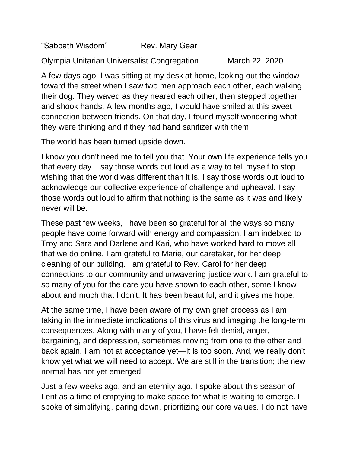"Sabbath Wisdom" Rev. Mary Gear

Olympia Unitarian Universalist Congregation March 22, 2020

A few days ago, I was sitting at my desk at home, looking out the window toward the street when I saw two men approach each other, each walking their dog. They waved as they neared each other, then stepped together and shook hands. A few months ago, I would have smiled at this sweet connection between friends. On that day, I found myself wondering what they were thinking and if they had hand sanitizer with them.

The world has been turned upside down.

I know you don't need me to tell you that. Your own life experience tells you that every day. I say those words out loud as a way to tell myself to stop wishing that the world was different than it is. I say those words out loud to acknowledge our collective experience of challenge and upheaval. I say those words out loud to affirm that nothing is the same as it was and likely never will be.

These past few weeks, I have been so grateful for all the ways so many people have come forward with energy and compassion. I am indebted to Troy and Sara and Darlene and Kari, who have worked hard to move all that we do online. I am grateful to Marie, our caretaker, for her deep cleaning of our building. I am grateful to Rev. Carol for her deep connections to our community and unwavering justice work. I am grateful to so many of you for the care you have shown to each other, some I know about and much that I don't. It has been beautiful, and it gives me hope.

At the same time, I have been aware of my own grief process as I am taking in the immediate implications of this virus and imaging the long-term consequences. Along with many of you, I have felt denial, anger, bargaining, and depression, sometimes moving from one to the other and back again. I am not at acceptance yet—it is too soon. And, we really don't know yet what we will need to accept. We are still in the transition; the new normal has not yet emerged.

Just a few weeks ago, and an eternity ago, I spoke about this season of Lent as a time of emptying to make space for what is waiting to emerge. I spoke of simplifying, paring down, prioritizing our core values. I do not have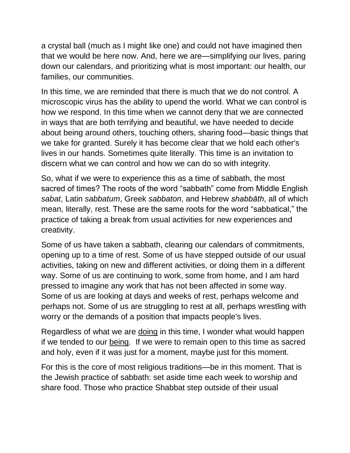a crystal ball (much as I might like one) and could not have imagined then that we would be here now. And, here we are—simplifying our lives, paring down our calendars, and prioritizing what is most important: our health, our families, our communities.

In this time, we are reminded that there is much that we do not control. A microscopic virus has the ability to upend the world. What we can control is how we respond. In this time when we cannot deny that we are connected in ways that are both terrifying and beautiful, we have needed to decide about being around others, touching others, sharing food—basic things that we take for granted. Surely it has become clear that we hold each other's lives in our hands. Sometimes quite literally. This time is an invitation to discern what we can control and how we can do so with integrity.

So, what if we were to experience this as a time of sabbath, the most sacred of times? The roots of the word "sabbath" come from Middle English *sabat*, Latin *sabbatum*, Greek *sabbaton*, and Hebrew *shabbāth*, all of which mean, literally, rest. These are the same roots for the word "sabbatical," the practice of taking a break from usual activities for new experiences and creativity.

Some of us have taken a sabbath, clearing our calendars of commitments, opening up to a time of rest. Some of us have stepped outside of our usual activities, taking on new and different activities, or doing them in a different way. Some of us are continuing to work, some from home, and I am hard pressed to imagine any work that has not been affected in some way. Some of us are looking at days and weeks of rest, perhaps welcome and perhaps not. Some of us are struggling to rest at all, perhaps wrestling with worry or the demands of a position that impacts people's lives.

Regardless of what we are doing in this time, I wonder what would happen if we tended to our being. If we were to remain open to this time as sacred and holy, even if it was just for a moment, maybe just for this moment.

For this is the core of most religious traditions—be in this moment. That is the Jewish practice of sabbath: set aside time each week to worship and share food. Those who practice Shabbat step outside of their usual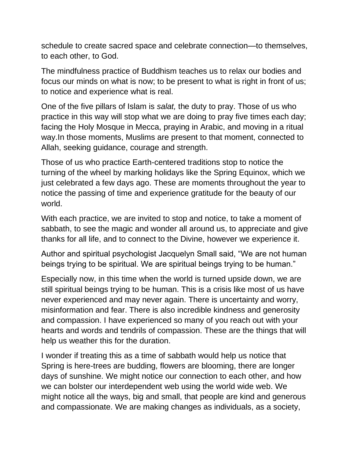schedule to create sacred space and celebrate connection—to themselves, to each other, to God.

The mindfulness practice of Buddhism teaches us to relax our bodies and focus our minds on what is now; to be present to what is right in front of us; to notice and experience what is real.

One of the five pillars of Islam is *salat,* the duty to pray. Those of us who practice in this way will stop what we are doing to pray five times each day; facing the Holy Mosque in Mecca, praying in Arabic, and moving in a ritual way.In those moments, Muslims are present to that moment, connected to Allah, seeking guidance, courage and strength.

Those of us who practice Earth-centered traditions stop to notice the turning of the wheel by marking holidays like the Spring Equinox, which we just celebrated a few days ago. These are moments throughout the year to notice the passing of time and experience gratitude for the beauty of our world.

With each practice, we are invited to stop and notice, to take a moment of sabbath, to see the magic and wonder all around us, to appreciate and give thanks for all life, and to connect to the Divine, however we experience it.

Author and spiritual psychologist Jacquelyn Small said, "We are not human beings trying to be spiritual. We are spiritual beings trying to be human."

Especially now, in this time when the world is turned upside down, we are still spiritual beings trying to be human. This is a crisis like most of us have never experienced and may never again. There is uncertainty and worry, misinformation and fear. There is also incredible kindness and generosity and compassion. I have experienced so many of you reach out with your hearts and words and tendrils of compassion. These are the things that will help us weather this for the duration.

I wonder if treating this as a time of sabbath would help us notice that Spring is here-trees are budding, flowers are blooming, there are longer days of sunshine. We might notice our connection to each other, and how we can bolster our interdependent web using the world wide web. We might notice all the ways, big and small, that people are kind and generous and compassionate. We are making changes as individuals, as a society,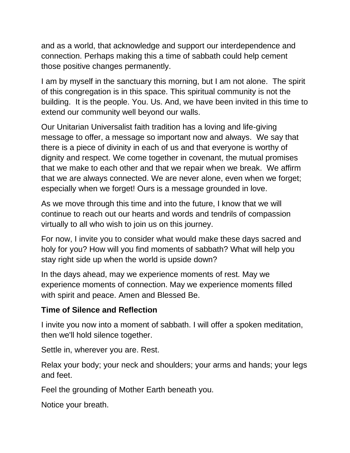and as a world, that acknowledge and support our interdependence and connection. Perhaps making this a time of sabbath could help cement those positive changes permanently.

I am by myself in the sanctuary this morning, but I am not alone. The spirit of this congregation is in this space. This spiritual community is not the building. It is the people. You. Us. And, we have been invited in this time to extend our community well beyond our walls.

Our Unitarian Universalist faith tradition has a loving and life-giving message to offer, a message so important now and always. We say that there is a piece of divinity in each of us and that everyone is worthy of dignity and respect. We come together in covenant, the mutual promises that we make to each other and that we repair when we break. We affirm that we are always connected. We are never alone, even when we forget; especially when we forget! Ours is a message grounded in love.

As we move through this time and into the future, I know that we will continue to reach out our hearts and words and tendrils of compassion virtually to all who wish to join us on this journey.

For now, I invite you to consider what would make these days sacred and holy for you? How will you find moments of sabbath? What will help you stay right side up when the world is upside down?

In the days ahead, may we experience moments of rest. May we experience moments of connection. May we experience moments filled with spirit and peace. Amen and Blessed Be.

## **Time of Silence and Reflection**

I invite you now into a moment of sabbath. I will offer a spoken meditation, then we'll hold silence together.

Settle in, wherever you are. Rest.

Relax your body; your neck and shoulders; your arms and hands; your legs and feet.

Feel the grounding of Mother Earth beneath you.

Notice your breath.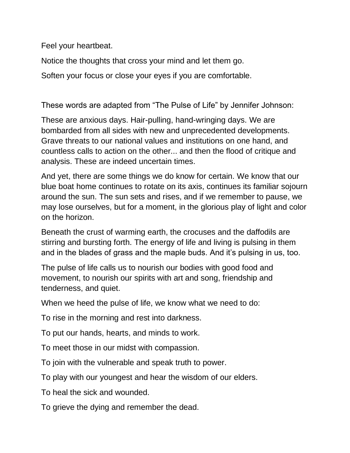Feel your heartbeat.

Notice the thoughts that cross your mind and let them go.

Soften your focus or close your eyes if you are comfortable.

These words are adapted from "The Pulse of Life" by Jennifer Johnson:

These are anxious days. Hair-pulling, hand-wringing days. We are bombarded from all sides with new and unprecedented developments. Grave threats to our national values and institutions on one hand, and countless calls to action on the other... and then the flood of critique and analysis. These are indeed uncertain times.

And yet, there are some things we do know for certain. We know that our blue boat home continues to rotate on its axis, continues its familiar sojourn around the sun. The sun sets and rises, and if we remember to pause, we may lose ourselves, but for a moment, in the glorious play of light and color on the horizon.

Beneath the crust of warming earth, the crocuses and the daffodils are stirring and bursting forth. The energy of life and living is pulsing in them and in the blades of grass and the maple buds. And it's pulsing in us, too.

The pulse of life calls us to nourish our bodies with good food and movement, to nourish our spirits with art and song, friendship and tenderness, and quiet.

When we heed the pulse of life, we know what we need to do:

To rise in the morning and rest into darkness.

To put our hands, hearts, and minds to work.

To meet those in our midst with compassion.

To join with the vulnerable and speak truth to power.

To play with our youngest and hear the wisdom of our elders.

To heal the sick and wounded.

To grieve the dying and remember the dead.